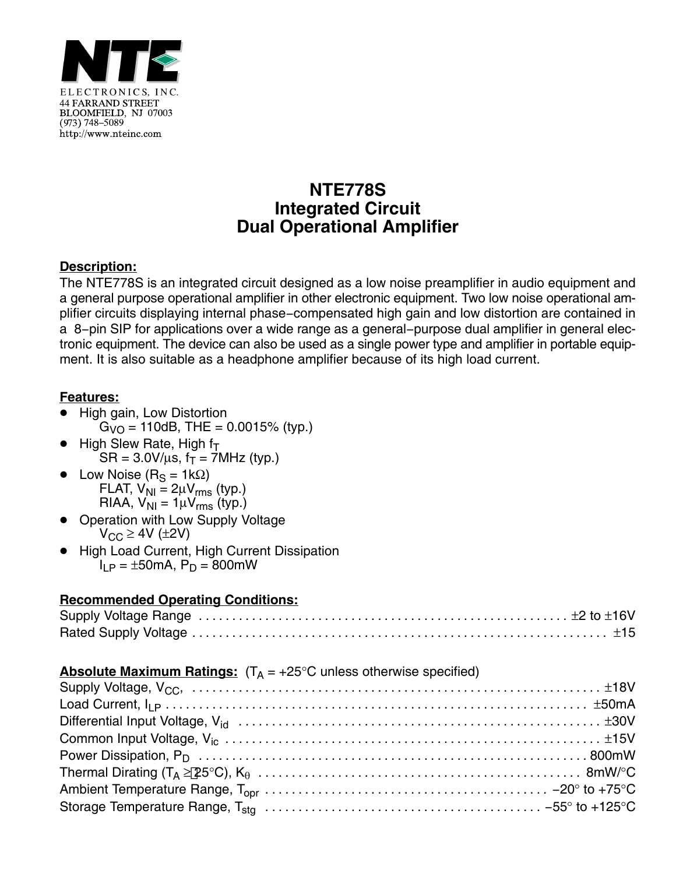

## **NTE778S Integrated Circuit Dual Operational Amplifier**

### **Description:**

The NTE778S is an integrated circuit designed as a low noise preamplifier in audio equipment and a general purpose operational amplifier in other electronic equipment. Two low noise operational amplifier circuits displaying internal phase−compensated high gain and low distortion are contained in a 8−pin SIP for applications over a wide range as a general−purpose dual amplifier in general electronic equipment. The device can also be used as a single power type and amplifier in portable equipment. It is also suitable as a headphone amplifier because of its high load current.

#### **Features:**

- -<br>• High gain, Low Distortion  $G_{\text{VO}} = 110$ dB, THE = 0.0015% (typ.)
- $\bullet$ High Slew Rate, High  $f_T$  $SR = 3.0 V/\mu s$ ,  $f_T = 7 MHz$  (typ.)
- $\bullet$ Low Noise ( $R_S = 1k\Omega$ ) FLAT,  $V_{\text{NI}} = 2\mu V_{\text{rms}}$  (typ.) RIAA,  $V_{\text{NI}} = 1 \mu V_{\text{rms}}$  (typ.)
- $\bullet$  Operation with Low Supply Voltage  $V_{CC} \geq 4V$  ( $\pm 2V$ )
- $\bullet$  High Load Current, High Current Dissipation  $I_{LP} = \pm 50$ mA,  $P_D = 800$ mW

#### **Recommended Operating Conditions:**

#### **Absolute Maximum Ratings:**  $(T_A = +25^{\circ}C$  unless otherwise specified)